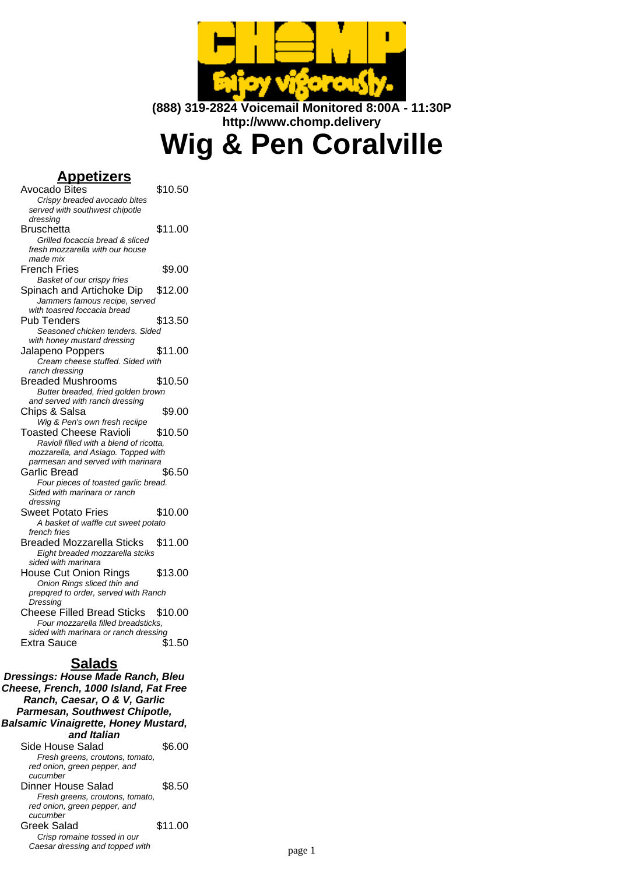

**(888) 319-2824 Voicemail Monitored 8:00A - 11:30P http://www.chomp.delivery**

# **Wig & Pen Coralville**

## **Appetizers**

| Avocado Bites                           | \$10.50 |  |
|-----------------------------------------|---------|--|
| Crispy breaded avocado bites            |         |  |
| served with southwest chipotle          |         |  |
| dressing                                |         |  |
|                                         |         |  |
| Bruschetta                              | \$11.00 |  |
| Grilled focaccia bread & sliced         |         |  |
| fresh mozzarella with our house         |         |  |
| made mix                                |         |  |
| <b>French Fries</b>                     | \$9.00  |  |
| Basket of our crispy fries              |         |  |
|                                         |         |  |
| Spinach and Artichoke Dip               | \$12.00 |  |
| Jammers famous recipe, served           |         |  |
| with toasred foccacia bread             |         |  |
| Pub Tenders                             | \$13.50 |  |
| Seasoned chicken tenders. Sided         |         |  |
| with honey mustard dressing             |         |  |
|                                         |         |  |
| Jalapeno Poppers                        | \$11.00 |  |
| Cream cheese stuffed. Sided with        |         |  |
| ranch dressing                          |         |  |
| <b>Breaded Mushrooms</b>                | \$10.50 |  |
| Butter breaded, fried golden brown      |         |  |
| and served with ranch dressing          |         |  |
|                                         |         |  |
| Chips & Salsa                           | \$9.00  |  |
| Wig & Pen's own fresh reciipe           |         |  |
| Toasted Cheese Ravioli                  | \$10.50 |  |
| Ravioli filled with a blend of ricotta, |         |  |
| mozzarella, and Asiago. Topped with     |         |  |
| parmesan and served with marinara       |         |  |
| Garlic Bread                            | \$6.50  |  |
|                                         |         |  |
| Four pieces of toasted garlic bread.    |         |  |
| Sided with marinara or ranch            |         |  |
| dressing                                |         |  |
| <b>Sweet Potato Fries</b>               | \$10.00 |  |
| A basket of waffle cut sweet potato     |         |  |
| french fries                            |         |  |
| <b>Breaded Mozzarella Sticks</b>        | \$11.00 |  |
|                                         |         |  |
| Eight breaded mozzarella stciks         |         |  |
| sided with marinara                     |         |  |
| <b>House Cut Onion Rings</b>            | \$13.00 |  |
| Onion Rings sliced thin and             |         |  |
| prepqred to order, served with Ranch    |         |  |
| Dressing                                |         |  |
| <b>Cheese Filled Bread Sticks</b>       | \$10.00 |  |
|                                         |         |  |
| Four mozzarella filled breadsticks.     |         |  |
| sided with marinara or ranch dressing   |         |  |
| <b>Extra Sauce</b>                      | \$1.50  |  |
|                                         |         |  |

# **Salads**

**Dressings: House Made Ranch, Bleu Cheese, French, 1000 Island, Fat Free Ranch, Caesar, O & V, Garlic Parmesan, Southwest Chipotle, Balsamic Vinaigrette, Honey Mustard, and Italian** Side House Salad \$6.00 Fresh greens, croutons, tomato, red onion, green pepper, and cucumber Dinner House Salad \$8.50 Fresh greens, croutons, tomato, red onion, green pepper, and cucumber Greek Salad \$11.00 Crisp romaine tossed in our Caesar dressing and topped with page 1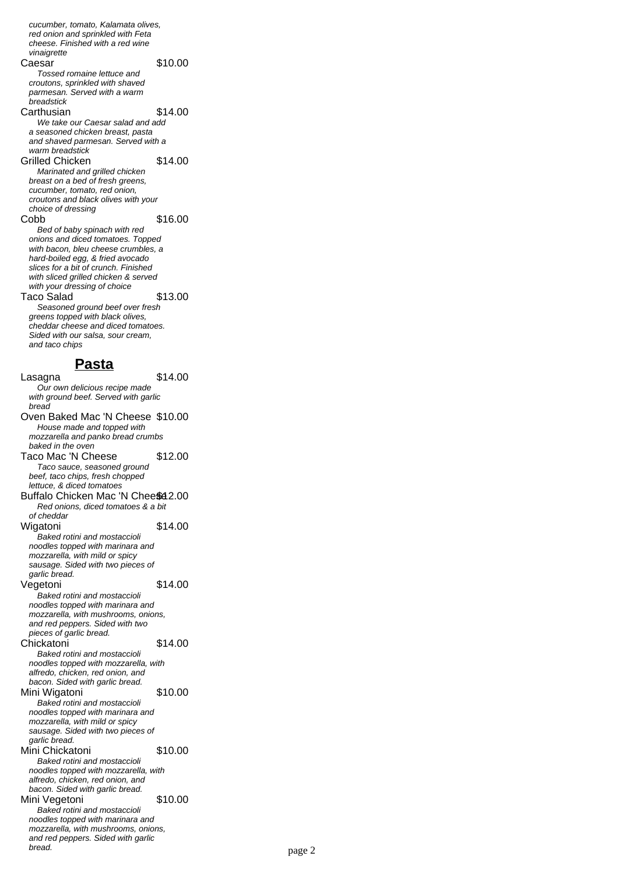cucumber, tomato, Kalamata olives, red onion and sprinkled with Feta cheese. Finished with a red wine vinaigrette Caesar \$10.00 Tossed romaine lettuce and croutons, sprinkled with shaved parmesan. Served with a warm breadstick Carthusian \$14.00 We take our Caesar salad and add a seasoned chicken breast, pasta and shaved parmesan. Served with a warm breadstick Grilled Chicken \$14.00 Marinated and grilled chicken breast on a bed of fresh greens. cucumber, tomato, red onion, croutons and black olives with your choice of dressing Cobb \$16.00 Bed of baby spinach with red onions and diced tomatoes. Topped with bacon, bleu cheese crumbles, a hard-boiled egg, & fried avocado slices for a bit of crunch. Finished with sliced grilled chicken & served with your dressing of choice Taco Salad \$13.00 Seasoned ground beef over fresh greens topped with black olives, cheddar cheese and diced tomatoes. Sided with our salsa, sour cream, and taco chips **Pasta** Lasagna  $\overline{\hspace{1.6cm}}$  \$14.00 Our own delicious recipe made with ground beef. Served with garlic bread Oven Baked Mac 'N Cheese \$10.00 House made and topped with mozzarella and panko bread crumbs baked in the oven Taco Mac 'N Cheese \$12.00 Taco sauce, seasoned ground beef, taco chips, fresh chopped lettuce, & diced tomatoes Buffalo Chicken Mac 'N Chee \$42.00 Red onions, diced tomatoes & a bit of cheddar Wigatoni \$14.00 Baked rotini and mostaccioli noodles topped with marinara and mozzarella, with mild or spicy sausage. Sided with two pieces of garlic bread. Vegetoni \$14.00 Baked rotini and mostaccioli noodles topped with marinara and mozzarella, with mushrooms, onions, and red peppers. Sided with two pieces of garlic bread. Chickatoni \$14.00 Baked rotini and mostaccioli noodles topped with mozzarella, with alfredo, chicken, red onion, and bacon. Sided with garlic bread. Mini Wigatoni **\$10.00** Baked rotini and mostaccioli noodles topped with marinara and mozzarella, with mild or spicy sausage. Sided with two pieces of garlic bread. Mini Chickatoni \$10.00 Baked rotini and mostaccioli noodles topped with mozzarella, with alfredo, chicken, red onion, and bacon. Sided with garlic bread. Mini Vegetoni  $$10.00$ Baked rotini and mostaccioli noodles topped with marinara and mozzarella, with mushrooms, onions, and red peppers. Sided with garlic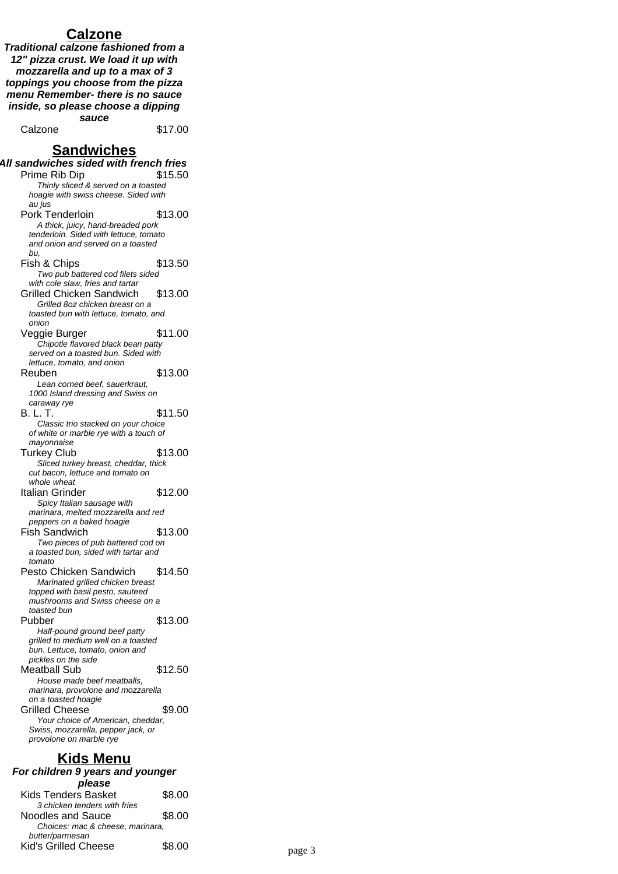## **Calzone**

**Traditional calzone fashioned from a 12" pizza crust. We load it up with mozzarella and up to a max of 3 toppings you choose from the pizza menu Remember- there is no sauce inside, so please choose a dipping sauce**

Calzone \$17.00

## **Sandwiches**

| All sandwiches sided with french fries                                        |  |  |
|-------------------------------------------------------------------------------|--|--|
| Prime Rib Dip<br>\$15.50                                                      |  |  |
| Thinly sliced & served on a toasted                                           |  |  |
| hoagie with swiss cheese. Sided with<br>au jus                                |  |  |
| \$13.00<br>Pork Tenderloin                                                    |  |  |
| A thick, juicy, hand-breaded pork                                             |  |  |
| tenderloin. Sided with lettuce, tomato                                        |  |  |
| and onion and served on a toasted                                             |  |  |
| bu.                                                                           |  |  |
| \$13.50<br>Fish & Chips                                                       |  |  |
| Two pub battered cod filets sided                                             |  |  |
| with cole slaw, fries and tartar                                              |  |  |
| <b>Grilled Chicken Sandwich</b><br>\$13.00                                    |  |  |
| Grilled 8oz chicken breast on a                                               |  |  |
| toasted bun with lettuce, tomato, and<br>onion                                |  |  |
| \$11.00<br>Veggie Burger                                                      |  |  |
| Chipotle flavored black bean patty                                            |  |  |
| served on a toasted bun. Sided with                                           |  |  |
| lettuce, tomato, and onion                                                    |  |  |
| \$13.00<br>Reuben                                                             |  |  |
| Lean corned beef, sauerkraut,                                                 |  |  |
| 1000 Island dressing and Swiss on                                             |  |  |
| caraway rye                                                                   |  |  |
| B. L. T.<br>\$11.50                                                           |  |  |
| Classic trio stacked on your choice<br>of white or marble rye with a touch of |  |  |
| mayonnaise                                                                    |  |  |
| <b>Turkey Club</b><br>\$13.00                                                 |  |  |
| Sliced turkey breast, cheddar, thick                                          |  |  |
| cut bacon, lettuce and tomato on                                              |  |  |
| whole wheat                                                                   |  |  |
| Italian Grinder<br>\$12.00                                                    |  |  |
| Spicy Italian sausage with                                                    |  |  |
| marinara, melted mozzarella and red                                           |  |  |
| peppers on a baked hoagie<br>Fish Sandwich<br>\$13.00                         |  |  |
| Two pieces of pub battered cod on                                             |  |  |
| a toasted bun, sided with tartar and                                          |  |  |
| tomato                                                                        |  |  |
| \$14.50<br>Pesto Chicken Sandwich                                             |  |  |
| Marinated grilled chicken breast                                              |  |  |
| topped with basil pesto, sauteed                                              |  |  |
| mushrooms and Swiss cheese on a                                               |  |  |
| toasted bun                                                                   |  |  |
| \$13.00<br>Pubber                                                             |  |  |
| Half-pound ground beef patty<br>grilled to medium well on a toasted           |  |  |
| bun. Lettuce, tomato, onion and                                               |  |  |
| pickles on the side                                                           |  |  |
| <b>Meatball Sub</b><br>\$12.50                                                |  |  |
| House made beef meatballs,                                                    |  |  |
| marinara, provolone and mozzarella                                            |  |  |
| on a toasted hoagie                                                           |  |  |
| <b>Grilled Cheese</b><br>\$9.00                                               |  |  |
| Your choice of American, cheddar,<br>Swiss, mozzarella, pepper jack, or       |  |  |
| provolone on marble rye                                                       |  |  |
|                                                                               |  |  |
| $V: J - M$                                                                    |  |  |

## **Kids Menu**

| For children 9 years and younger |        |  |
|----------------------------------|--------|--|
| please                           |        |  |
| Kids Tenders Basket              | \$8.00 |  |
| 3 chicken tenders with fries     |        |  |
| Noodles and Sauce                | \$8.00 |  |
| Choices: mac & choose marinara   |        |  |

| Choices: mac & cheese, marinara, |        |        |
|----------------------------------|--------|--------|
| butter/parmesan                  |        |        |
| Kid's Grilled Cheese             | \$8.00 | page 3 |
|                                  |        |        |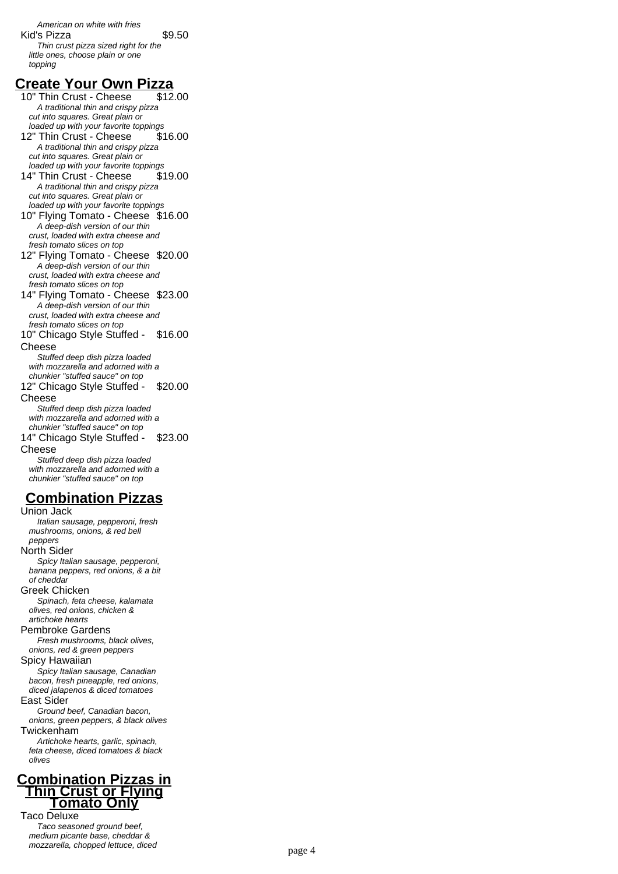American on white with fries Kid's Pizza  $$9.50$ Thin crust pizza sized right for the little ones, choose plain or one topping

# **Create Your Own Pizza**

10" Thin Crust - Cheese A traditional thin and crispy pizza cut into squares. Great plain or loaded up with your favorite toppings 12" Thin Crust - Cheese \$16.00 A traditional thin and crispy pizza cut into squares. Great plain or loaded up with your favorite toppings

14" Thin Crust - Cheese \$19.00 A traditional thin and crispy pizza cut into squares. Great plain or loaded up with your favorite toppings

10" Flying Tomato - Cheese \$16.00 A deep-dish version of our thin crust, loaded with extra cheese and fresh tomato slices on top

12" Flying Tomato - Cheese \$20.00 A deep-dish version of our thin crust, loaded with extra cheese and fresh tomato slices on top

14" Flying Tomato - Cheese \$23.00 A deep-dish version of our thin crust, loaded with extra cheese and fresh tomato slices on top

10" Chicago Style Stuffed - Cheese \$16.00

Stuffed deep dish pizza loaded with mozzarella and adorned with a chunkier "stuffed sauce" on top 12" Chicago Style Stuffed - \$20.00

Cheese

Stuffed deep dish pizza loaded with mozzarella and adorned with a chunkier "stuffed sauce" on top 14" Chicago Style Stuffed - \$23.00

Cheese

Stuffed deep dish pizza loaded with mozzarella and adorned with a chunkier "stuffed sauce" on top

# **Combination Pizzas**

Union Jack Italian sausage, pepperoni, fresh mushrooms, onions, & red bell peppers North Sider Spicy Italian sausage, pepperoni, banana peppers, red onions, & a bit of cheddar Greek Chicken Spinach, feta cheese, kalamata olives, red onions, chicken & artichoke hearts Pembroke Gardens Fresh mushrooms, black olives, onions, red & green peppers Spicy Hawaiian Spicy Italian sausage, Canadian bacon, fresh pineapple, red onions, diced jalapenos & diced tomatoes East Sider Ground beef, Canadian bacon, onions, green peppers, & black olives Twickenham Artichoke hearts, garlic, spinach, feta cheese, diced tomatoes & black olives **Combination Pizzas in**

## **Thin Crust or Flying Tomato Only** Taco Deluxe

Taco seasoned ground beef, medium picante base, cheddar & mozzarella, chopped lettuce, diced page 4